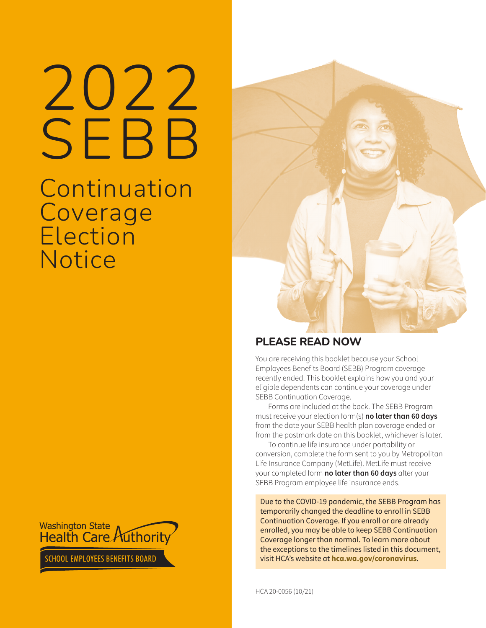# 2022 SEBB

Continuation Coverage Election **Notice** 





# **PLEASE READ NOW**

You are receiving this booklet because your School Employees Benefits Board (SEBB) Program coverage recently ended. This booklet explains how you and your eligible dependents can continue your coverage under SEBB Continuation Coverage.

Forms are included at the back. The SEBB Program must receive your election form(s) **no later than 60 days** from the date your SEBB health plan coverage ended or from the postmark date on this booklet, whichever is later.

To continue life insurance under portability or conversion, complete the form sent to you by Metropolitan Life Insurance Company (MetLife). MetLife must receive your completed form **no later than 60 days** after your SEBB Program employee life insurance ends.

Due to the COVID-19 pandemic, the SEBB Program has temporarily changed the deadline to enroll in SEBB Continuation Coverage. If you enroll or are already enrolled, you may be able to keep SEBB Continuation Coverage longer than normal. To learn more about the exceptions to the timelines listed in this document, visit HCA's website at **[hca.wa.gov/coronavirus](https://www.hca.wa.gov/about-hca/information-about-novel-coronavirus-covid-19)**.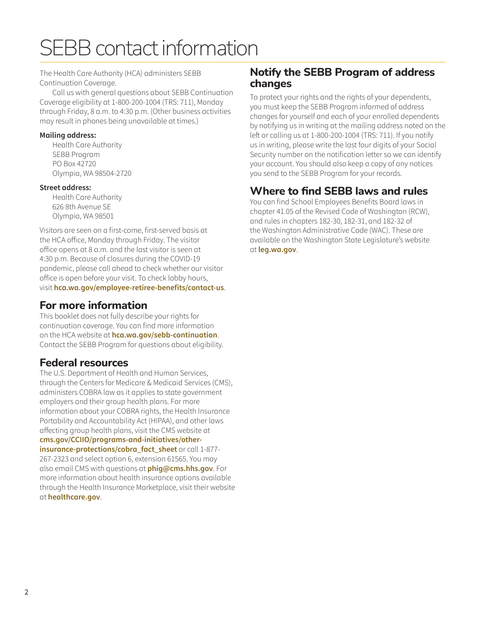# <span id="page-1-0"></span>SEBB contact information

The Health Care Authority (HCA) administers SEBB Continuation Coverage.

Call us with general questions about SEBB Continuation Coverage eligibility at 1-800-200-1004 (TRS: 711), Monday through Friday, 8 a.m. to 4:30 p.m. (Other business activities may result in phones being unavailable at times.)

#### **Mailing address:**

Health Care Authority SEBB Program PO Box 42720 Olympia, WA 98504-2720

#### **Street address:**

Health Care Authority 626 8th Avenue SE Olympia, WA 98501

Visitors are seen on a first-come, first-served basis at the HCA office, Monday through Friday. The visitor office opens at 8 a.m. and the last visitor is seen at 4:30 p.m. Because of closures during the COVID-19 pandemic, please call ahead to check whether our visitor office is open before your visit. To check lobby hours, visit **[hca.wa.gov/employee-retiree-benefits/contact-us](https://www.hca.wa.gov/employee-retiree-benefits/contact-us)**.

# **For more information**

This booklet does not fully describe your rights for continuation coverage. You can find more information on [the HCA website at](http://hca.wa.gov/sebb-continuation) **hca.wa.gov[/sebb-continuation](http://hca.wa.gov/sebb-continuation)**. Contact the SEBB Program for questions about eligibility.

# **Federal resources**

The U.S. Department of Health and Human Services, through the Centers for Medicare & Medicaid Services (CMS), administers COBRA law as it applies to state government employers and their group health plans. For more information about your COBRA rights, the Health Insurance Portability and Accountability Act (HIPAA), and other laws affecting group health plans, visit the CMS website at **[cms.gov/CCIIO/programs-and-initiatives/other](https://www.cms.gov/CCIIO/programs-and-initiatives/other-insurance-protections/cobra_fact_sheet)[insurance-protections/cobra\\_fact\\_sheet](https://www.cms.gov/CCIIO/programs-and-initiatives/other-insurance-protections/cobra_fact_sheet)** or call 1-877- 267-2323 and select option 6, extension 61565. You may also email CMS with questions at **[phig@cms.hhs.gov](mailto:phig@cms.hhs.gov?subject=)**. For more information about health insurance options available through the Health Insurance Marketplace, visit their website at **[healthcare.gov](https://www.healthcare.gov/)**.

# **Notify the SEBB Program of address changes**

To protect your rights and the rights of your dependents, you must keep the SEBB Program informed of address changes for yourself and each of your enrolled dependents by notifying us in writing at the mailing address noted on the left or calling us at 1-800-200-1004 (TRS: 711). If you notify us in writing, please write the last four digits of your Social Security number on the notification letter so we can identify your account. You should also keep a copy of any notices you send to the SEBB Program for your records.

# **Where to find SEBB laws and rules**

You can find School Employees Benefits Board laws in chapter 41.05 of the Revised Code of Washington (RCW), and rules in chapters 182-30, 182-31, and 182-32 of the Washington Administrative Code (WAC). These are available on [the Washington State Legislature's website](http://leg.wa.gov/)  at **[leg.wa.gov](http://leg.wa.gov/)**.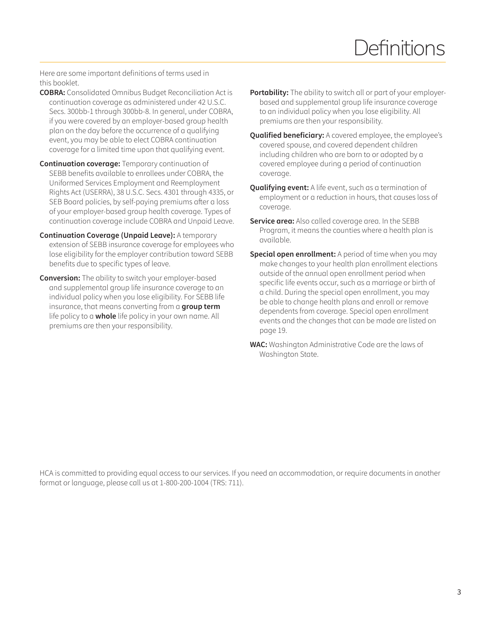<span id="page-2-0"></span>Here are some important definitions of terms used in this booklet.

- **COBRA:** Consolidated Omnibus Budget Reconciliation Act is continuation coverage as administered under 42 U.S.C. Secs. 300bb-1 through 300bb-8. In general, under COBRA, if you were covered by an employer-based group health plan on the day before the occurrence of a qualifying event, you may be able to elect COBRA continuation coverage for a limited time upon that qualifying event.
- **Continuation coverage:** Temporary continuation of SEBB benefits available to enrollees under COBRA, the Uniformed Services Employment and Reemployment Rights Act (USERRA), 38 U.S.C. Secs. 4301 through 4335, or SEB Board policies, by self-paying premiums after a loss of your employer-based group health coverage. Types of continuation coverage include COBRA and Unpaid Leave.
- **Continuation Coverage (Unpaid Leave):** A temporary extension of SEBB insurance coverage for employees who lose eligibility for the employer contribution toward SEBB benefits due to specific types of leave.
- **Conversion:** The ability to switch your employer-based and supplemental group life insurance coverage to an individual policy when you lose eligibility. For SEBB life insurance, that means converting from a **group term** life policy to a **whole** life policy in your own name. All premiums are then your responsibility.
- **Portability:** The ability to switch all or part of your employerbased and supplemental group life insurance coverage to an individual policy when you lose eligibility. All premiums are then your responsibility.
- **Qualified beneficiary:** A covered employee, the employee's covered spouse, and covered dependent children including children who are born to or adopted by a covered employee during a period of continuation coverage.
- **Qualifying event:** A life event, such as a termination of employment or a reduction in hours, that causes loss of coverage.
- **Service area:** Also called coverage area. In the SEBB Program, it means the counties where a health plan is available.
- **Special open enrollment:** A period of time when you may make changes to your health plan enrollment elections outside of the annual open enrollment period when specific life events occur, such as a marriage or birth of a child. During the special open enrollment, you may be able to change health plans and enroll or remove dependents from coverage. Special open enrollment events and the changes that can be made are listed on [page 19.](#page-18-0)
- **WAC:** Washington Administrative Code are the laws of Washington State.

HCA is committed to providing equal access to our services. If you need an accommodation, or require documents in another format or language, please call us at 1-800-200-1004 (TRS: 711).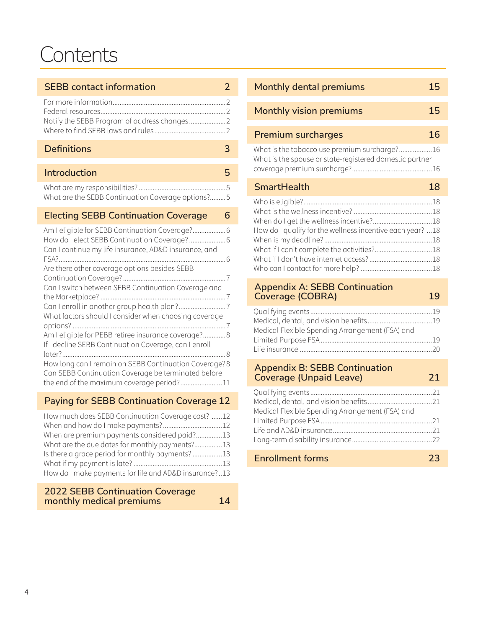# **Contents**

**[SEBB contact information 2](#page-1-0)**

## **Definitions 3**

#### **[Introduction 5](#page-4-0)**

| What are the SEBB Continuation Coverage options?5 |  |
|---------------------------------------------------|--|

## **Electing SEBB Continuation Coverage 6**

| Can I continue my life insurance, AD&D insurance, and  |  |
|--------------------------------------------------------|--|
|                                                        |  |
| Are there other coverage options besides SEBB          |  |
|                                                        |  |
| Can I switch between SEBB Continuation Coverage and    |  |
|                                                        |  |
|                                                        |  |
| What factors should I consider when choosing coverage  |  |
|                                                        |  |
| Am I eligible for PEBB retiree insurance coverage?8    |  |
| If I decline SEBB Continuation Coverage, can I enroll  |  |
|                                                        |  |
| How long can I remain on SEBB Continuation Coverage? 8 |  |
| Can SEBB Continuation Coverage be terminated before    |  |
| the end of the maximum coverage period?11              |  |
|                                                        |  |

## **Paying for SEBB Continuation Coverage 12**

| How much does SEBB Continuation Coverage cost? 12     |  |
|-------------------------------------------------------|--|
|                                                       |  |
| When are premium payments considered paid?13          |  |
| What are the due dates for monthly payments?13        |  |
| Is there a grace period for monthly payments?13       |  |
|                                                       |  |
| How do I make payments for life and AD&D insurance?13 |  |

| 2022 SEBB Continuation Coverage |    |
|---------------------------------|----|
| monthly medical premiums        | 14 |

| <b>Monthly dental premiums</b>                                                                                                                       | 15 |
|------------------------------------------------------------------------------------------------------------------------------------------------------|----|
| <b>Monthly vision premiums</b>                                                                                                                       | 15 |
| <b>Premium surcharges</b>                                                                                                                            | 16 |
| What is the tobacco use premium surcharge?16<br>What is the spouse or state-registered domestic partner                                              |    |
| <b>SmartHealth</b>                                                                                                                                   | 18 |
| When do I get the wellness incentive? 18<br>How do I qualify for the wellness incentive each year? 18<br>What if I can't complete the activities? 18 |    |
| <b>Appendix A: SEBB Continuation</b>                                                                                                                 |    |

# **Coverage (COBRA) 19**

| Medical Flexible Spending Arrangement (FSA) and |  |
|-------------------------------------------------|--|
|                                                 |  |
|                                                 |  |

#### **Appendix B: SEBB Continuation Coverage (Unpaid Leave) 21**

| Medical Flexible Spending Arrangement (FSA) and |  |
|-------------------------------------------------|--|
|                                                 |  |
|                                                 |  |
|                                                 |  |
|                                                 |  |
|                                                 |  |

| <b>Enrollment forms</b> | 23 |
|-------------------------|----|
|                         |    |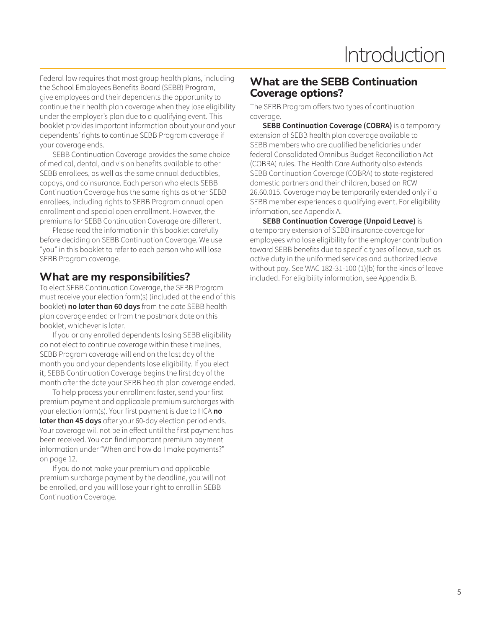<span id="page-4-0"></span>Federal law requires that most group health plans, including the School Employees Benefits Board (SEBB) Program, give employees and their dependents the opportunity to continue their health plan coverage when they lose eligibility under the employer's plan due to a qualifying event. This booklet provides important information about your and your dependents' rights to continue SEBB Program coverage if your coverage ends.

SEBB Continuation Coverage provides the same choice of medical, dental, and vision benefits available to other SEBB enrollees, as well as the same annual deductibles, copays, and coinsurance. Each person who elects SEBB Continuation Coverage has the same rights as other SEBB enrollees, including rights to SEBB Program annual open enrollment and special open enrollment. However, the premiums for SEBB Continuation Coverage are different.

Please read the information in this booklet carefully before deciding on SEBB Continuation Coverage. We use "you" in this booklet to refer to each person who will lose SEBB Program coverage.

# **What are my responsibilities?**

To elect SEBB Continuation Coverage, the SEBB Program must receive your election form(s) (included at the end of this booklet) **no later than 60 days** from the date SEBB health plan coverage ended or from the postmark date on this booklet, whichever is later.

If you or any enrolled dependents losing SEBB eligibility do not elect to continue coverage within these timelines, SEBB Program coverage will end on the last day of the month you and your dependents lose eligibility. If you elect it, SEBB Continuation Coverage begins the first day of the month after the date your SEBB health plan coverage ended.

To help process your enrollment faster, send your first premium payment and applicable premium surcharges with your election form(s). Your first payment is due to HCA **no later than 45 days** after your 60-day election period ends. Your coverage will not be in effect until the first payment has been received. You can find important premium payment information under "When and how do I make payments?" on [page 12](#page-11-1).

If you do not make your premium and applicable premium surcharge payment by the deadline, you will not be enrolled, and you will lose your right to enroll in SEBB Continuation Coverage.

## **What are the SEBB Continuation Coverage options?**

The SEBB Program offers two types of continuation coverage.

**SEBB Continuation Coverage (COBRA)** is a temporary extension of SEBB health plan coverage available to SEBB members who are qualified beneficiaries under federal Consolidated Omnibus Budget Reconciliation Act (COBRA) rules. The Health Care Authority also extends SEBB Continuation Coverage (COBRA) to state-registered domestic partners and their children, based on RCW 26.60.015. Coverage may be temporarily extended only if a SEBB member experiences a qualifying event. For eligibility information, see Appendix A.

**SEBB Continuation Coverage (Unpaid Leave)** is a temporary extension of SEBB insurance coverage for employees who lose eligibility for the employer contribution toward SEBB benefits due to specific types of leave, such as active duty in the uniformed services and authorized leave without pay. See WAC 182-31-100 (1)(b) for the kinds of leave included. For eligibility information, see Appendix B.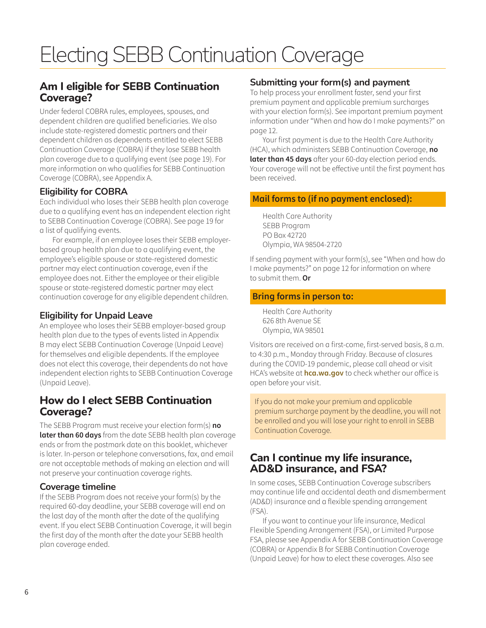# <span id="page-5-0"></span>**Am I eligible for SEBB Continuation Coverage?**

Under federal COBRA rules, employees, spouses, and dependent children are qualified beneficiaries. We also include state-registered domestic partners and their dependent children as dependents entitled to elect SEBB Continuation Coverage (COBRA) if they lose SEBB health plan coverage due to a qualifying event (see [page 19](#page-18-0)). For more information on who qualifies for SEBB Continuation Coverage (COBRA), see Appendix A.

# **Eligibility for COBRA**

Each individual who loses their SEBB health plan coverage due to a qualifying event has an independent election right to SEBB Continuation Coverage (COBRA). See [page 19](#page-18-0) for a list of qualifying events.

For example, if an employee loses their SEBB employerbased group health plan due to a qualifying event, the employee's eligible spouse or state-registered domestic partner may elect continuation coverage, even if the employee does not. Either the employee or their eligible spouse or state-registered domestic partner may elect continuation coverage for any eligible dependent children.

#### **Eligibility for Unpaid Leave**

An employee who loses their SEBB employer-based group health plan due to the types of events listed in Appendix B may elect SEBB Continuation Coverage (Unpaid Leave) for themselves and eligible dependents. If the employee does not elect this coverage, their dependents do not have independent election rights to SEBB Continuation Coverage (Unpaid Leave).

# **How do I elect SEBB Continuation Coverage?**

The SEBB Program must receive your election form(s) **no later than 60 days** from the date SEBB health plan coverage ends or from the postmark date on this booklet, whichever is later. In-person or telephone conversations, fax, and email are not acceptable methods of making an election and will not preserve your continuation coverage rights.

#### **Coverage timeline**

If the SEBB Program does not receive your form(s) by the required 60-day deadline, your SEBB coverage will end on the last day of the month after the date of the qualifying event. If you elect SEBB Continuation Coverage, it will begin the first day of the month after the date your SEBB health plan coverage ended.

## **Submitting your form(s) and payment**

To help process your enrollment faster, send your first premium payment and applicable premium surcharges with your election form(s). See important premium payment information under "When and how do I make payments?" on [page 12.](#page-11-1)

Your first payment is due to the Health Care Authority (HCA), which administers SEBB Continuation Coverage, **no later than 45 days** after your 60-day election period ends. Your coverage will not be effective until the first payment has been received.

#### **Mail forms to (if no payment enclosed):**

Health Care Authority SEBB Program PO Box 42720 Olympia, WA 98504-2720

If sending payment with your form(s), see "When and how do I make payments?" on [page 12](#page-11-1) for information on where to submit them. **Or**

#### **Bring forms in person to:**

Health Care Authority 626 8th Avenue SE Olympia, WA 98501

Visitors are received on a first-come, first-served basis, 8 a.m. to 4:30 p.m., Monday through Friday. Because of closures during the COVID-19 pandemic, please call ahead or visit HCA's website at **[hca.wa.gov](http://hca.wa.gov)** to check whether our office is open before your visit.

If you do not make your premium and applicable premium surcharge payment by the deadline, you will not be enrolled and you will lose your right to enroll in SEBB Continuation Coverage.

# **Can I continue my life insurance, AD&D insurance, and FSA?**

In some cases, SEBB Continuation Coverage subscribers may continue life and accidental death and dismemberment (AD&D) insurance and a flexible spending arrangement (FSA).

If you want to continue your life insurance, Medical Flexible Spending Arrangement (FSA), or Limited Purpose FSA, please see Appendix A for SEBB Continuation Coverage (COBRA) or Appendix B for SEBB Continuation Coverage (Unpaid Leave) for how to elect these coverages. Also see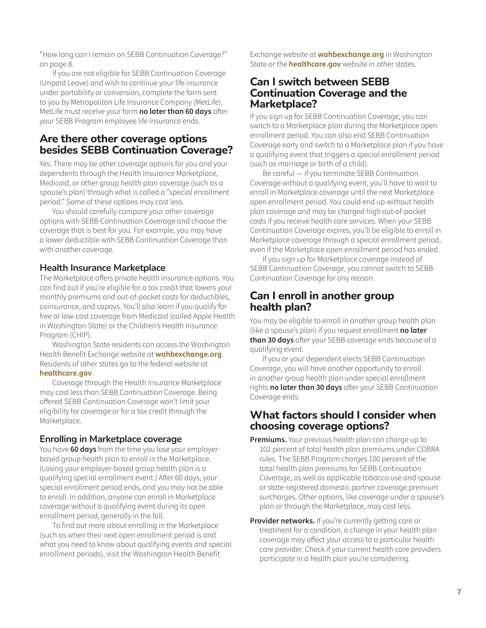<span id="page-6-0"></span>"How long can I remain on SEBB Continuation Coverage?" on [page 8.](#page-7-1)

If you are not eligible for SEBB Continuation Coverage (Unpaid Leave) and wish to continue your life insurance under portability or conversion, complete the form sent to you by Metropolitan Life Insurance Company (MetLife). MetLife must receive your form **no later than 60 days** after your SEBB Program employee life insurance ends.

# **Are there other coverage options besides SEBB Continuation Coverage?**

Yes. There may be other coverage options for you and your dependents through the Health Insurance Marketplace, Medicaid, or other group health plan coverage (such as a spouse's plan) through what is called a "special enrollment period." Some of these options may cost less.

You should carefully compare your other coverage options with SEBB Continuation Coverage and choose the coverage that is best for you. For example, you may have a lower deductible with SEBB Continuation Coverage than with another coverage.

#### **Health Insurance Marketplace**

The Marketplace offers private health insurance options. You can find out if you're eligible for a tax credit that lowers your monthly premiums and out-of-pocket costs for deductibles, coinsurance, and copays. You'll also learn if you qualify for free or low-cost coverage from Medicaid (called Apple Health in Washington State) or the Children's Health Insurance Program (CHIP).

Washington State residents can access the Washington Health Benefit Exchange website at **[wahbexchange.org](https://www.wahbexchange.org/)**. Residents of other states go to the federal website at **[healthcare.gov](http://healthcare.gov)**.

Coverage through the Health Insurance Marketplace may cost less than SEBB Continuation Coverage. Being offered SEBB Continuation Coverage won't limit your eligibility for coverage or for a tax credit through the Marketplace.

#### **Enrolling in Marketplace coverage**

You have **60 days** from the time you lose your employerbased group health plan to enroll in the Marketplace. (Losing your employer-based group health plan is a qualifying special enrollment event.) After 60 days, your special enrollment period ends, and you may not be able to enroll. In addition, anyone can enroll in Marketplace coverage without a qualifying event during its open enrollment period, generally in the fall.

To find out more about enrolling in the Marketplace (such as when their next open enrollment period is and what you need to know about qualifying events and special enrollment periods), visit the Washington Health Benefit

Exchange website at **[wahbexchange.org](https://www.wahbexchange.org/)** in Washington State or the **[healthcare.gov](http://healthcare.gov)** website in other states.

#### **Can I switch between SEBB Continuation Coverage and the Marketplace?**

If you sign up for SEBB Continuation Coverage, you can switch to a Marketplace plan during the Marketplace open enrollment period. You can also end SEBB Continuation Coverage early and switch to a Marketplace plan if you have a qualifying event that triggers a special enrollment period (such as marriage or birth of a child).

Be careful — if you terminate SEBB Continuation Coverage without a qualifying event, you'll have to wait to enroll in Marketplace coverage until the next Marketplace open enrollment period. You could end up without health plan coverage and may be charged high out-of-pocket costs if you receive health care services. When your SEBB Continuation Coverage expires, you'll be eligible to enroll in Marketplace coverage through a special enrollment period, even if the Marketplace open enrollment period has ended.

If you sign up for Marketplace coverage instead of SEBB Continuation Coverage, you cannot switch to SEBB Continuation Coverage for any reason.

## **Can I enroll in another group health plan?**

You may be eligible to enroll in another group health plan (like a spouse's plan) if you request enrollment **no later than 30 days** after your SEBB coverage ends because of a qualifying event.

If you or your dependent elects SEBB Continuation Coverage, you will have another opportunity to enroll in another group health plan under special enrollment rights **no later than 30 days** after your SEBB Continuation Coverage ends.

## **What factors should I consider when choosing coverage options?**

- **Premiums.** Your previous health plan can charge up to 102 percent of total health plan premiums under COBRA rules. The SEBB Program charges 100 percent of the total health plan premiums for SEBB Continuation Coverage, as well as applicable tobacco use and spouse or state-registered domestic partner coverage premium surcharges. Other options, like coverage under a spouse's plan or through the Marketplace, may cost less.
- **Provider networks.** If you're currently getting care or treatment for a condition, a change in your health plan coverage may affect your access to a particular health care provider. Check if your current health care providers participate in a health plan you're considering.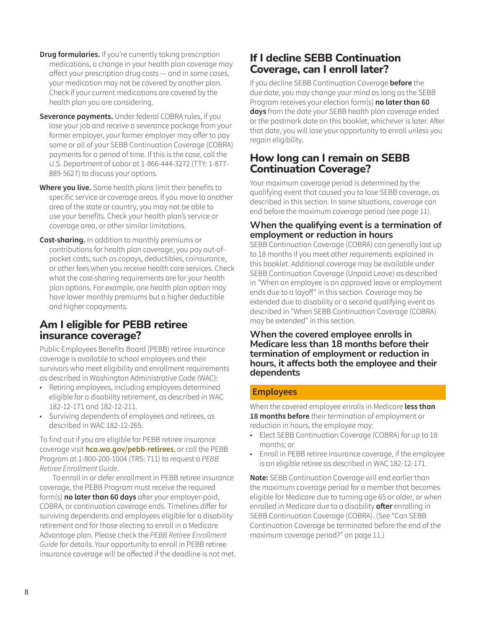- <span id="page-7-0"></span>**Drug formularies.** If you're currently taking prescription medications, a change in your health plan coverage may affect your prescription drug costs — and in some cases, your medication may not be covered by another plan. Check if your current medications are covered by the health plan you are considering.
- **Severance payments.** Under federal COBRA rules, if you lose your job and receive a severance package from your former employer, your former employer may offer to pay some or all of your SEBB Continuation Coverage (COBRA) payments for a period of time. If this is the case, call the U.S. Department of Labor at 1-866-444-3272 (TTY: 1-877- 889-5627) to discuss your options.
- **Where you live.** Some health plans limit their benefits to specific service or coverage areas. If you move to another area of the state or country, you may not be able to use your benefits. Check your health plan's service or coverage area, or other similar limitations.
- **Cost-sharing.** In addition to monthly premiums or contributions for health plan coverage, you pay out-ofpocket costs, such as copays, deductibles, coinsurance, or other fees when you receive health care services. Check what the cost-sharing requirements are for your health plan options. For example, one health plan option may have lower monthly premiums but a higher deductible and higher copayments.

# **Am I eligible for PEBB retiree insurance coverage?**

Public Employees Benefits Board (PEBB) retiree insurance coverage is available to school employees and their survivors who meet eligibility and enrollment requirements as described in Washington Administrative Code (WAC):

- Retiring employees, including employees determined eligible for a disability retirement, as described in WAC 182-12-171 and 182-12-211.
- Surviving dependents of employees and retirees, as described in WAC 182-12-265.

To find out if you are eligible for PEBB retiree insurance coverage visit **[hca.wa.gov/pebb-retirees](http://hca.wa.gov/pebb-retirees)**, or call the PEBB Program at 1-800-200-1004 (TRS: 711) to request a *PEBB Retiree Enrollment Guide*.

To enroll in or defer enrollment in PEBB retiree insurance coverage, the PEBB Program must receive the required form(s) **no later than 60 days** after your employer-paid, COBRA, or continuation coverage ends. Timelines differ for surviving dependents and employees eligible for a disability retirement and for those electing to enroll in a Medicare Advantage plan. Please check the *PEBB Retiree Enrollment Guide* for details. Your opportunity to enroll in PEBB retiree insurance coverage will be affected if the deadline is not met.

# **If I decline SEBB Continuation Coverage, can I enroll later?**

If you decline SEBB Continuation Coverage **before** the due date, you may change your mind as long as the SEBB Program receives your election form(s) **no later than 60 days** from the date your SEBB health plan coverage ended or the postmark date on this booklet, whichever is later. After that date, you will lose your opportunity to enroll unless you regain eligibility.

# <span id="page-7-1"></span>**How long can I remain on SEBB Continuation Coverage?**

Your maximum coverage period is determined by the qualifying event that caused you to lose SEBB coverage, as described in this section. In some situations, coverage can end before the maximum coverage period (see [page 11\)](#page-10-1).

#### **When the qualifying event is a termination of employment or reduction in hours**

SEBB Continuation Coverage (COBRA) can generally last up to 18 months if you meet other requirements explained in this booklet. Additional coverage may be available under SEBB Continuation Coverage (Unpaid Leave) as described in "When an employee is on approved leave or employment ends due to a layoff" in this section. Coverage may be extended due to disability or a second qualifying event as described in "When SEBB Continuation Coverage (COBRA) may be extended" in this section.

**When the covered employee enrolls in Medicare less than 18 months before their termination of employment or reduction in hours, it affects both the employee and their dependents**

#### **Employees**

When the covered employee enrolls in Medicare **less than 18 months before** their termination of employment or reduction in hours, the employee may:

- Elect SEBB Continuation Coverage (COBRA) for up to 18 months; or
- Enroll in PEBB retiree insurance coverage, if the employee is an eligible retiree as described in WAC 182-12-171.

**Note:** SEBB Continuation Coverage will end earlier than the maximum coverage period for a member that becomes eligible for Medicare due to turning age 65 or older, or when enrolled in Medicare due to a disability **after** enrolling in SEBB Continuation Coverage (COBRA). (See "Can SEBB Continuation Coverage be terminated before the end of the maximum coverage period?" on [page 11](#page-10-1).)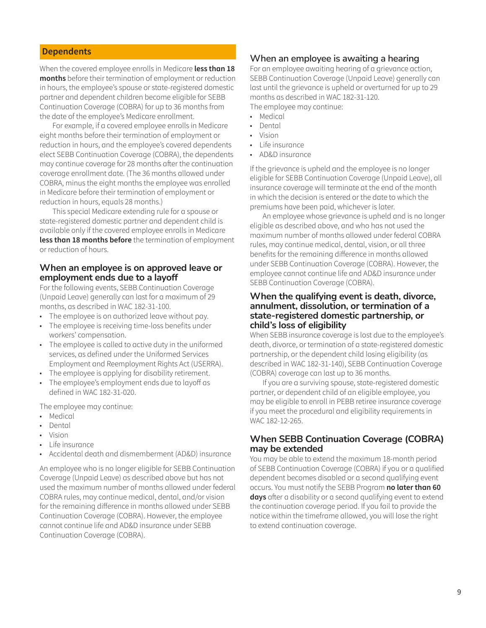#### **Dependents**

When the covered employee enrolls in Medicare **less than 18 months** before their termination of employment or reduction in hours, the employee's spouse or state-registered domestic partner and dependent children become eligible for SEBB Continuation Coverage (COBRA) for up to 36 months from the date of the employee's Medicare enrollment.

For example, if a covered employee enrolls in Medicare eight months before their termination of employment or reduction in hours, and the employee's covered dependents elect SEBB Continuation Coverage (COBRA), the dependents may continue coverage for 28 months after the continuation coverage enrollment date. (The 36 months allowed under COBRA, minus the eight months the employee was enrolled in Medicare before their termination of employment or reduction in hours, equals 28 months.)

This special Medicare extending rule for a spouse or state-registered domestic partner and dependent child is available only if the covered employee enrolls in Medicare **less than 18 months before** the termination of employment or reduction of hours.

#### <span id="page-8-0"></span>**When an employee is on approved leave or employment ends due to a layoff**

For the following events, SEBB Continuation Coverage (Unpaid Leave) generally can last for a maximum of 29 months, as described in WAC 182-31-100.

- The employee is on authorized leave without pay.
- The employee is receiving time-loss benefits under workers' compensation.
- The employee is called to active duty in the uniformed services, as defined under the Uniformed Services Employment and Reemployment Rights Act (USERRA).
- The employee is applying for disability retirement.
- The employee's employment ends due to layoff as defined in WAC 182-31-020.

The employee may continue:

- **Medical**
- Dental
- Vision
- Life insurance
- Accidental death and dismemberment (AD&D) insurance

An employee who is no longer eligible for SEBB Continuation Coverage (Unpaid Leave) as described above but has not used the maximum number of months allowed under federal COBRA rules, may continue medical, dental, and/or vision for the remaining difference in months allowed under SEBB Continuation Coverage (COBRA). However, the employee cannot continue life and AD&D insurance under SEBB Continuation Coverage (COBRA).

#### **When an employee is awaiting a hearing**

For an employee awaiting hearing of a grievance action, SEBB Continuation Coverage (Unpaid Leave) generally can last until the grievance is upheld or overturned for up to 29 months as described in WAC 182-31-120.

The employee may continue:

- **Medical**
- Dental
- Vision
- Life insurance
- AD&D insurance

If the grievance is upheld and the employee is no longer eligible for SEBB Continuation Coverage (Unpaid Leave), all insurance coverage will terminate at the end of the month in which the decision is entered or the date to which the premiums have been paid, whichever is later.

An employee whose grievance is upheld and is no longer eligible as described above, and who has not used the maximum number of months allowed under federal COBRA rules, may continue medical, dental, vision, or all three benefits for the remaining difference in months allowed under SEBB Continuation Coverage (COBRA). However, the employee cannot continue life and AD&D insurance under SEBB Continuation Coverage (COBRA).

#### **When the qualifying event is death, divorce, annulment, dissolution, or termination of a state-registered domestic partnership, or child's loss of eligibility**

When SEBB insurance coverage is lost due to the employee's death, divorce, or termination of a state-registered domestic partnership, or the dependent child losing eligibility (as described in WAC 182-31-140), SEBB Continuation Coverage (COBRA) coverage can last up to 36 months.

If you are a surviving spouse, state-registered domestic partner, or dependent child of an eligible employee, you may be eligible to enroll in PEBB retiree insurance coverage if you meet the procedural and eligibility requirements in WAC 182-12-265.

#### **When SEBB Continuation Coverage (COBRA) may be extended**

You may be able to extend the maximum 18-month period of SEBB Continuation Coverage (COBRA) if you or a qualified dependent becomes disabled or a second qualifying event occurs. You must notify the SEBB Program **no later than 60 days** after a disability or a second qualifying event to extend the continuation coverage period. If you fail to provide the notice within the timeframe allowed, you will lose the right to extend continuation coverage.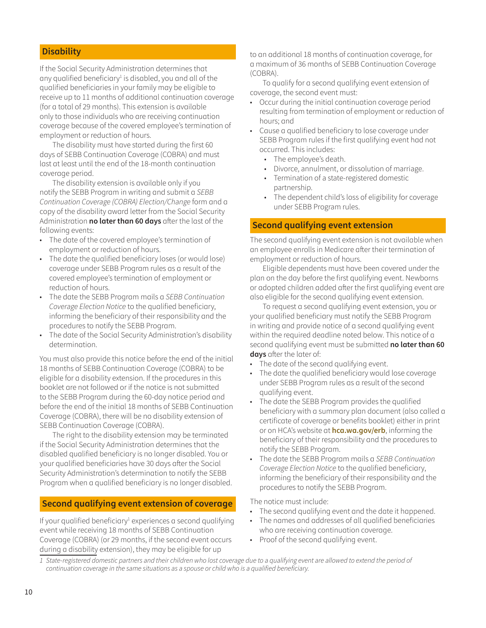#### **Disability**

If the Social Security Administration determines that any qualified beneficiary<sup>1</sup> is disabled, you and all of the qualified beneficiaries in your family may be eligible to receive up to 11 months of additional continuation coverage (for a total of 29 months). This extension is available only to those individuals who are receiving continuation coverage because of the covered employee's termination of employment or reduction of hours.

The disability must have started during the first 60 days of SEBB Continuation Coverage (COBRA) and must last at least until the end of the 18-month continuation coverage period.

The disability extension is available only if you notify the SEBB Program in writing and submit a *SEBB Continuation Coverage (COBRA) Election/Change* form and a copy of the disability award letter from the Social Security Administration **no later than 60 days** after the last of the following events:

- The date of the covered employee's termination of employment or reduction of hours.
- The date the qualified beneficiary loses (or would lose) coverage under SEBB Program rules as a result of the covered employee's termination of employment or reduction of hours.
- The date the SEBB Program mails a *SEBB Continuation Coverage Election Notice* to the qualified beneficiary, informing the beneficiary of their responsibility and the procedures to notify the SEBB Program.
- The date of the Social Security Administration's disability determination.

You must also provide this notice before the end of the initial 18 months of SEBB Continuation Coverage (COBRA) to be eligible for a disability extension. If the procedures in this booklet are not followed or if the notice is not submitted to the SEBB Program during the 60-day notice period and before the end of the initial 18 months of SEBB Continuation Coverage (COBRA), there will be no disability extension of SEBB Continuation Coverage (COBRA).

The right to the disability extension may be terminated if the Social Security Administration determines that the disabled qualified beneficiary is no longer disabled. You or your qualified beneficiaries have 30 days after the Social Security Administration's determination to notify the SEBB Program when a qualified beneficiary is no longer disabled.

#### **Second qualifying event extension of coverage**

If your qualified beneficiary<sup>1</sup> experiences a second qualifying event while receiving 18 months of SEBB Continuation Coverage (COBRA) (or 29 months, if the second event occurs during a disability extension), they may be eligible for up

to an additional 18 months of continuation coverage, for a maximum of 36 months of SEBB Continuation Coverage (COBRA).

To qualify for a second qualifying event extension of coverage, the second event must:

- Occur during the initial continuation coverage period resulting from termination of employment or reduction of hours; and
- Cause a qualified beneficiary to lose coverage under SEBB Program rules if the first qualifying event had not occurred. This includes:
	- The employee's death.
	- Divorce, annulment, or dissolution of marriage.
	- Termination of a state-registered domestic partnership.
	- The dependent child's loss of eligibility for coverage under SEBB Program rules.

#### **Second qualifying event extension**

The second qualifying event extension is not available when an employee enrolls in Medicare after their termination of employment or reduction of hours.

Eligible dependents must have been covered under the plan on the day before the first qualifying event. Newborns or adopted children added after the first qualifying event are also eligible for the second qualifying event extension.

To request a second qualifying event extension, you or your qualified beneficiary must notify the SEBB Program in writing and provide notice of a second qualifying event within the required deadline noted below. This notice of a second qualifying event must be submitted **no later than 60 days** after the later of:

- The date of the second qualifying event.
- The date the qualified beneficiary would lose coverage under SEBB Program rules as a result of the second qualifying event.
- The date the SEBB Program provides the qualified beneficiary with a summary plan document (also called a certificate of coverage or benefits booklet) either in print or on HCA's website at **[hca.wa.gov/erb](http://hca.wa.gov/erb)**, informing the beneficiary of their responsibility and the procedures to notify the SEBB Program.
- The date the SEBB Program mails a *SEBB Continuation Coverage Election Notice* to the qualified beneficiary, informing the beneficiary of their responsibility and the procedures to notify the SEBB Program.

The notice must include:

- The second qualifying event and the date it happened.
- The names and addresses of all qualified beneficiaries who are receiving continuation coverage.
- Proof of the second qualifying event.

*<sup>1</sup> State-registered domestic partners and their children who lost coverage due to a qualifying event are allowed to extend the period of continuation coverage in the same situations as a spouse or child who is a qualified beneficiary.*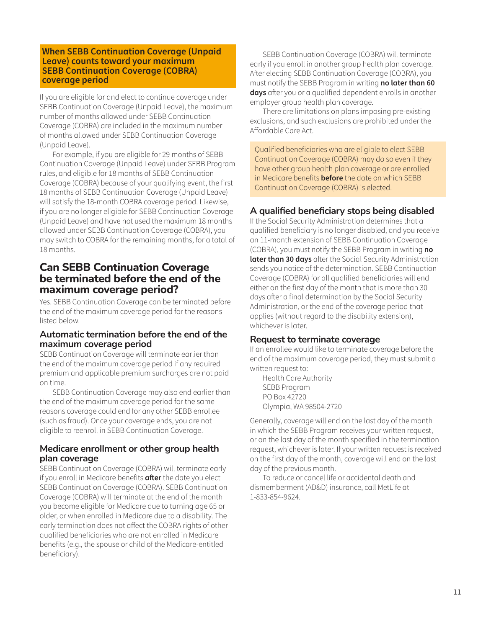#### <span id="page-10-0"></span>**When SEBB Continuation Coverage (Unpaid Leave) counts toward your maximum SEBB Continuation Coverage (COBRA) coverage period**

If you are eligible for and elect to continue coverage under SEBB Continuation Coverage (Unpaid Leave), the maximum number of months allowed under SEBB Continuation Coverage (COBRA) are included in the maximum number of months allowed under SEBB Continuation Coverage (Unpaid Leave).

For example, if you are eligible for 29 months of SEBB Continuation Coverage (Unpaid Leave) under SEBB Program rules, and eligible for 18 months of SEBB Continuation Coverage (COBRA) because of your qualifying event, the first 18 months of SEBB Continuation Coverage (Unpaid Leave) will satisfy the 18-month COBRA coverage period. Likewise, if you are no longer eligible for SEBB Continuation Coverage (Unpaid Leave) and have not used the maximum 18 months allowed under SEBB Continuation Coverage (COBRA), you may switch to COBRA for the remaining months, for a total of 18 months.

## <span id="page-10-1"></span>**Can SEBB Continuation Coverage be terminated before the end of the maximum coverage period?**

Yes. SEBB Continuation Coverage can be terminated before the end of the maximum coverage period for the reasons listed below.

#### **Automatic termination before the end of the maximum coverage period**

SEBB Continuation Coverage will terminate earlier than the end of the maximum coverage period if any required premium and applicable premium surcharges are not paid on time.

SEBB Continuation Coverage may also end earlier than the end of the maximum coverage period for the same reasons coverage could end for any other SEBB enrollee (such as fraud). Once your coverage ends, you are not eligible to reenroll in SEBB Continuation Coverage.

#### **Medicare enrollment or other group health plan coverage**

SEBB Continuation Coverage (COBRA) will terminate early if you enroll in Medicare benefits **after** the date you elect SEBB Continuation Coverage (COBRA). SEBB Continuation Coverage (COBRA) will terminate at the end of the month you become eligible for Medicare due to turning age 65 or older, or when enrolled in Medicare due to a disability. The early termination does not affect the COBRA rights of other qualified beneficiaries who are not enrolled in Medicare benefits (e.g., the spouse or child of the Medicare-entitled beneficiary).

SEBB Continuation Coverage (COBRA) will terminate early if you enroll in another group health plan coverage. After electing SEBB Continuation Coverage (COBRA), you must notify the SEBB Program in writing **no later than 60 days** after you or a qualified dependent enrolls in another employer group health plan coverage.

There are limitations on plans imposing pre-existing exclusions, and such exclusions are prohibited under the Affordable Care Act.

Qualified beneficiaries who are eligible to elect SEBB Continuation Coverage (COBRA) may do so even if they have other group health plan coverage or are enrolled in Medicare benefits **before** the date on which SEBB Continuation Coverage (COBRA) is elected.

#### **A qualified beneficiary stops being disabled**

If the Social Security Administration determines that a qualified beneficiary is no longer disabled, and you receive an 11-month extension of SEBB Continuation Coverage (COBRA), you must notify the SEBB Program in writing **no later than 30 days** after the Social Security Administration sends you notice of the determination. SEBB Continuation Coverage (COBRA) for all qualified beneficiaries will end either on the first day of the month that is more than 30 days after a final determination by the Social Security Administration, or the end of the coverage period that applies (without regard to the disability extension), whichever is later.

#### **Request to terminate coverage**

If an enrollee would like to terminate coverage before the end of the maximum coverage period, they must submit a written request to:

Health Care Authority SEBB Program PO Box 42720 Olympia, WA 98504-2720

Generally, coverage will end on the last day of the month in which the SEBB Program receives your written request, or on the last day of the month specified in the termination request, whichever is later. If your written request is received on the first day of the month, coverage will end on the last day of the previous month.

To reduce or cancel life or accidental death and dismemberment (AD&D) insurance, call MetLife at 1-833-854-9624.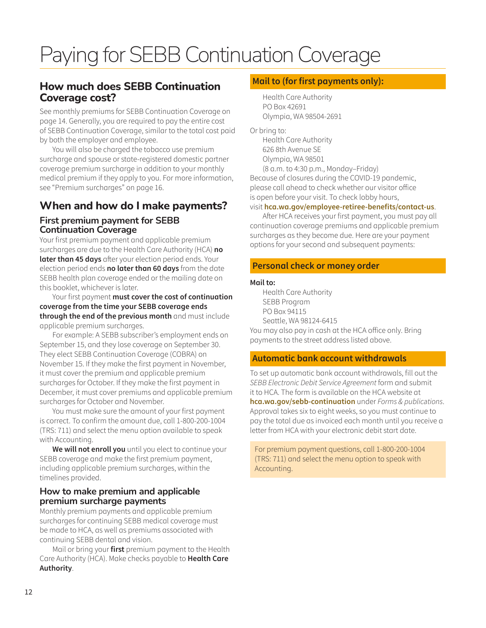# <span id="page-11-0"></span>**How much does SEBB Continuation Coverage cost?**

See monthly premiums for SEBB Continuation Coverage on [page 14.](#page-13-1) Generally, you are required to pay the entire cost of SEBB Continuation Coverage, similar to the total cost paid by both the employer and employee.

You will also be charged the tobacco use premium surcharge and spouse or state-registered domestic partner coverage premium surcharge in addition to your monthly medical premium if they apply to you. For more information, see "Premium surcharges" on [page 16.](#page-15-1)

# <span id="page-11-1"></span>**When and how do I make payments?**

#### **First premium payment for SEBB Continuation Coverage**

Your first premium payment and applicable premium surcharges are due to the Health Care Authority (HCA) **no later than 45 days** after your election period ends. Your election period ends **no later than 60 days** from the date SEBB health plan coverage ended or the mailing date on this booklet, whichever is later.

Your first payment **must cover the cost of continuation coverage from the time your SEBB coverage ends through the end of the previous month** and must include applicable premium surcharges.

For example: A SEBB subscriber's employment ends on September 15, and they lose coverage on September 30. They elect SEBB Continuation Coverage (COBRA) on November 15. If they make the first payment in November, it must cover the premium and applicable premium surcharges for October. If they make the first payment in December, it must cover premiums and applicable premium surcharges for October and November.

You must make sure the amount of your first payment is correct. To confirm the amount due, call 1-800-200-1004 (TRS: 711) and select the menu option available to speak with Accounting.

**We will not enroll you** until you elect to continue your SEBB coverage and make the first premium payment, including applicable premium surcharges, within the timelines provided.

#### **How to make premium and applicable premium surcharge payments**

Monthly premium payments and applicable premium surcharges for continuing SEBB medical coverage must be made to HCA, as well as premiums associated with continuing SEBB dental and vision.

Mail or bring your **first** premium payment to the Health Care Authority (HCA). Make checks payable to **Health Care Authority**.

#### **Mail to (for first payments only):**

Health Care Authority PO Box 42691 Olympia, WA 98504-2691

Or bring to:

Health Care Authority 626 8th Avenue SE Olympia, WA 98501

(8 a.m. to 4:30 p.m., Monday–Friday) Because of closures during the COVID-19 pandemic, please call ahead to check whether our visitor office is open before your visit. To check lobby hours,

#### visit **[hca.wa.gov/employee-retiree-benefits/contact-us](http://hca.wa.gov/employee-retiree-benefits/contact-us)**.

After HCA receives your first payment, you must pay all continuation coverage premiums and applicable premium surcharges as they become due. Here are your payment options for your second and subsequent payments:

#### **Personal check or money order**

#### **Mail to:**

Health Care Authority SEBB Program PO Box 94115 Seattle, WA 98124-6415

You may also pay in cash at the HCA office only. Bring payments to the street address listed above.

#### **Automatic bank account withdrawals**

To set up automatic bank account withdrawals, fill out the *SEBB Electronic Debit Service Agreement* form and submit it to HCA. The form is available on the HCA website at **[hca.wa.gov/sebb-continuation](http://hca.wa.gov/sebb-continuation)** under *Forms & publications*. Approval takes six to eight weeks, so you must continue to pay the total due as invoiced each month until you receive a letter from HCA with your electronic debit start date.

For premium payment questions, call 1-800-200-1004 (TRS: 711) and select the menu option to speak with Accounting.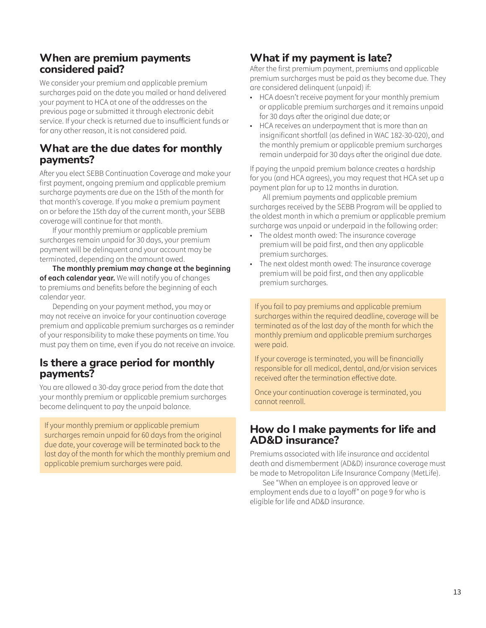# <span id="page-12-0"></span>**When are premium payments considered paid?**

We consider your premium and applicable premium surcharges paid on the date you mailed or hand delivered your payment to HCA at one of the addresses on the previous page or submitted it through electronic debit service. If your check is returned due to insufficient funds or for any other reason, it is not considered paid.

# **What are the due dates for monthly payments?**

After you elect SEBB Continuation Coverage and make your first payment, ongoing premium and applicable premium surcharge payments are due on the 15th of the month for that month's coverage. If you make a premium payment on or before the 15th day of the current month, your SEBB coverage will continue for that month.

If your monthly premium or applicable premium surcharges remain unpaid for 30 days, your premium payment will be delinquent and your account may be terminated, depending on the amount owed.

**The monthly premium may change at the beginning of each calendar year.** We will notify you of changes to premiums and benefits before the beginning of each calendar year.

Depending on your payment method, you may or may not receive an invoice for your continuation coverage premium and applicable premium surcharges as a reminder of your responsibility to make these payments on time. You must pay them on time, even if you do not receive an invoice.

# **Is there a grace period for monthly payments?**

You are allowed a 30-day grace period from the date that your monthly premium or applicable premium surcharges become delinquent to pay the unpaid balance.

If your monthly premium or applicable premium surcharges remain unpaid for 60 days from the original due date, your coverage will be terminated back to the last day of the month for which the monthly premium and applicable premium surcharges were paid.

# **What if my payment is late?**

After the first premium payment, premiums and applicable premium surcharges must be paid as they become due. They are considered delinquent (unpaid) if:

- HCA doesn't receive payment for your monthly premium or applicable premium surcharges and it remains unpaid for 30 days after the original due date; or
- HCA receives an underpayment that is more than an insignificant shortfall (as defined in WAC 182-30-020), and the monthly premium or applicable premium surcharges remain underpaid for 30 days after the original due date.

If paying the unpaid premium balance creates a hardship for you (and HCA agrees), you may request that HCA set up a payment plan for up to 12 months in duration.

All premium payments and applicable premium surcharges received by the SEBB Program will be applied to the oldest month in which a premium or applicable premium surcharge was unpaid or underpaid in the following order:

- The oldest month owed: The insurance coverage premium will be paid first, and then any applicable premium surcharges.
- The next oldest month owed: The insurance coverage premium will be paid first, and then any applicable premium surcharges.

If you fail to pay premiums and applicable premium surcharges within the required deadline, coverage will be terminated as of the last day of the month for which the monthly premium and applicable premium surcharges were paid.

If your coverage is terminated, you will be financially responsible for all medical, dental, and/or vision services received after the termination effective date.

Once your continuation coverage is terminated, you cannot reenroll.

# **How do I make payments for life and AD&D insurance?**

Premiums associated with life insurance and accidental death and dismemberment (AD&D) insurance coverage must be made to Metropolitan Life Insurance Company (MetLife).

See "When an employee is on approved leave or employment ends due to a layoff" on [page 9](#page-8-0) for who is eligible for life and AD&D insurance.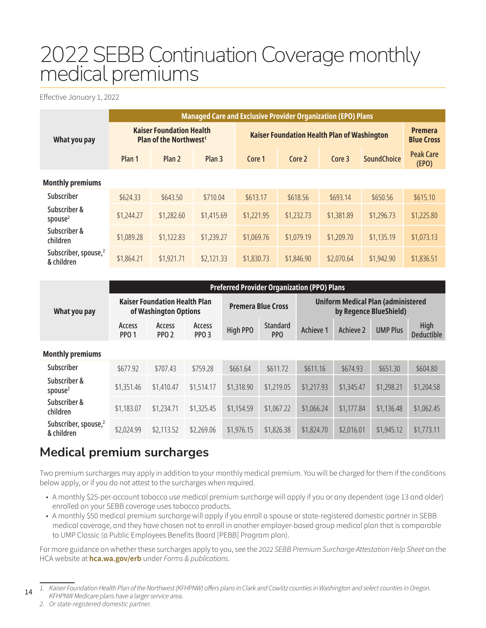# <span id="page-13-1"></span><span id="page-13-0"></span>2022 SEBB Continuation Coverage monthly medical premiums

#### Effective January 1, 2022

|                                                | <b>Managed Care and Exclusive Provider Organization (EPO) Plans</b> |                                                                             |                   |            |                                                    |                                     |                    |                           |
|------------------------------------------------|---------------------------------------------------------------------|-----------------------------------------------------------------------------|-------------------|------------|----------------------------------------------------|-------------------------------------|--------------------|---------------------------|
| What you pay                                   |                                                                     | <b>Kaiser Foundation Health</b><br><b>Plan of the Northwest<sup>1</sup></b> |                   |            | <b>Kaiser Foundation Health Plan of Washington</b> | <b>Premera</b><br><b>Blue Cross</b> |                    |                           |
|                                                | Plan <sub>1</sub>                                                   | Plan <sub>2</sub>                                                           | Plan <sub>3</sub> | Core 1     | Core 2                                             | Core <sub>3</sub>                   | <b>SoundChoice</b> | <b>Peak Care</b><br>(FPO) |
| <b>Monthly premiums</b>                        |                                                                     |                                                                             |                   |            |                                                    |                                     |                    |                           |
| Subscriber                                     | \$624.33                                                            | \$643.50                                                                    | \$710.04          | \$613.17   | \$618.56                                           | \$693.14                            | \$650.56           | \$615.10                  |
| Subscriber &<br>spouse <sup>2</sup>            | \$1,244.27                                                          | \$1,282.60                                                                  | \$1,415.69        | \$1,221.95 | \$1,232.73                                         | \$1,381.89                          | \$1,296.73         | \$1,225.80                |
| Subscriber &<br>children                       | \$1,089.28                                                          | \$1,122.83                                                                  | \$1,239.27        | \$1,069.76 | \$1,079.19                                         | \$1,209.70                          | \$1,135.19         | \$1,073.13                |
| Subscriber, spouse, <sup>2</sup><br>& children | \$1,864.21                                                          | \$1,921.71                                                                  | \$2,121.33        | \$1,830.73 | \$1,846.90                                         | \$2,070.64                          | \$1,942.90         | \$1,836.51                |

|                                                                               | <b>Preferred Provider Organization (PPO) Plans</b> |                            |                            |                                                                     |                                    |                  |                  |                 |                           |
|-------------------------------------------------------------------------------|----------------------------------------------------|----------------------------|----------------------------|---------------------------------------------------------------------|------------------------------------|------------------|------------------|-----------------|---------------------------|
| <b>Kaiser Foundation Health Plan</b><br>of Washington Options<br>What you pay |                                                    | <b>Premera Blue Cross</b>  |                            | <b>Uniform Medical Plan (administered</b><br>by Regence BlueShield) |                                    |                  |                  |                 |                           |
|                                                                               | Access<br><b>PPO 1</b>                             | Access<br>PPO <sub>2</sub> | Access<br>PPO <sub>3</sub> | <b>High PPO</b>                                                     | <b>Standard</b><br>PP <sub>0</sub> | <b>Achieve 1</b> | <b>Achieve 2</b> | <b>UMP Plus</b> | High<br><b>Deductible</b> |
| <b>Monthly premiums</b>                                                       |                                                    |                            |                            |                                                                     |                                    |                  |                  |                 |                           |
| Subscriber                                                                    | \$677.92                                           | \$707.43                   | \$759.28                   | \$661.64                                                            | \$611.72                           | \$611.16         | \$674.93         | \$651.30        | \$604.80                  |
| Subscriber &<br>spouse <sup>2</sup>                                           | \$1,351.46                                         | \$1,410.47                 | \$1,514.17                 | \$1,318.90                                                          | \$1,219.05                         | \$1,217.93       | \$1,345.47       | \$1,298.21      | \$1,204.58                |
| Subscriber &<br>children                                                      | \$1,183.07                                         | \$1,234.71                 | \$1,325.45                 | \$1,154.59                                                          | \$1,067.22                         | \$1,066.24       | \$1,177.84       | \$1,136.48      | \$1,062.45                |
| Subscriber, spouse, <sup>2</sup><br>& children                                | \$2,024.99                                         | \$2,113.52                 | \$2,269.06                 | \$1,976.15                                                          | \$1,826.38                         | \$1,824.70       | \$2,016.01       | \$1,945.12      | \$1,773.11                |

# **Medical premium surcharges**

Two premium surcharges may apply in addition to your monthly medical premium. You will be charged for them if the conditions below apply, or if you do not attest to the surcharges when required.

- A monthly \$25-per-account tobacco use medical premium surcharge will apply if you or any dependent (age 13 and older) enrolled on your SEBB coverage uses tobacco products.
- A monthly \$50 medical premium surcharge will apply if you enroll a spouse or state-registered domestic partner in SEBB medical coverage, and they have chosen not to enroll in another employer-based group medical plan that is comparable to UMP Classic (a Public Employees Benefits Board [PEBB] Program plan).

For more guidance on whether these surcharges apply to you, see the *2022 SEBB Premium Surcharge Attestation Help Sheet* on the HCA website at **[hca.wa.gov/erb](http://hca.wa.gov/erb)** under *Forms & publications*.

<span id="page-13-3"></span><span id="page-13-2"></span>*1. Kaiser Foundation Health Plan of the Northwest (KFHPNW) offers plans in Clark and Cowlitz counties in Washington and select counties in Oregon. KFHPNW Medicare plans have a larger service area.* 14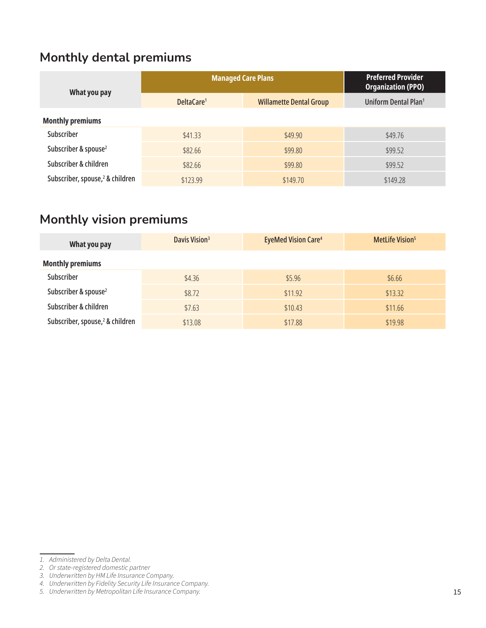# <span id="page-14-0"></span>**Monthly dental premiums**

| What you pay                                | <b>Managed Care Plans</b> | <b>Preferred Provider</b><br><b>Organization (PPO)</b> |                                  |  |
|---------------------------------------------|---------------------------|--------------------------------------------------------|----------------------------------|--|
|                                             | DeltaCare <sup>1</sup>    | <b>Willamette Dental Group</b>                         | Uniform Dental Plan <sup>1</sup> |  |
| <b>Monthly premiums</b>                     |                           |                                                        |                                  |  |
| Subscriber                                  | \$41.33                   | \$49.90                                                | \$49.76                          |  |
| Subscriber & spouse <sup>2</sup>            | \$82.66                   | \$99.80                                                | \$99.52                          |  |
| Subscriber & children                       | \$82.66                   | \$99.80                                                | \$99.52                          |  |
| Subscriber, spouse, <sup>2</sup> & children | \$123.99                  | \$149.70                                               | \$149.28                         |  |

# **Monthly vision premiums**

| What you pay                                | Davis Vision <sup>3</sup> | <b>EyeMed Vision Care4</b> | MetLife Vision <sup>5</sup> |
|---------------------------------------------|---------------------------|----------------------------|-----------------------------|
| <b>Monthly premiums</b>                     |                           |                            |                             |
| Subscriber                                  | \$4.36                    | \$5.96                     | \$6.66                      |
| Subscriber & spouse <sup>2</sup>            | \$8.72                    | \$11.92                    | \$13.32                     |
| Subscriber & children                       | \$7.63                    | \$10.43                    | \$11.66                     |
| Subscriber, spouse, <sup>2</sup> & children | \$13.08                   | \$17.88                    | \$19.98                     |

<span id="page-14-1"></span>*<sup>1.</sup> Administered by Delta Dental.*

<span id="page-14-5"></span>*<sup>2.</sup> Or state-registered domestic partner*

<span id="page-14-2"></span>*<sup>3.</sup> Underwritten by HM Life Insurance Company.*

<span id="page-14-3"></span>*<sup>4.</sup> Underwritten by Fidelity Security Life Insurance Company.*

<span id="page-14-4"></span>*<sup>5.</sup> Underwritten by Metropolitan Life Insurance Company.* 15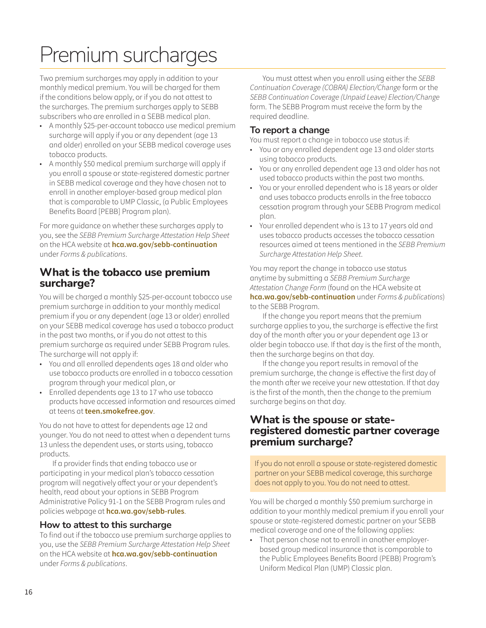# <span id="page-15-1"></span><span id="page-15-0"></span>Premium surcharges

Two premium surcharges may apply in addition to your monthly medical premium. You will be charged for them if the conditions below apply, or if you do not attest to the surcharges. The premium surcharges apply to SEBB subscribers who are enrolled in a SEBB medical plan.

- A monthly \$25-per-account tobacco use medical premium surcharge will apply if you or any dependent (age 13 and older) enrolled on your SEBB medical coverage uses tobacco products.
- A monthly \$50 medical premium surcharge will apply if you enroll a spouse or state-registered domestic partner in SEBB medical coverage and they have chosen not to enroll in another employer-based group medical plan that is comparable to UMP Classic, (a Public Employees Benefits Board [PEBB] Program plan).

For more guidance on whether these surcharges apply to you, see the *SEBB Premium Surcharge Attestation Help Sheet* on the HCA website at **[hca.wa.gov/sebb-continuation](http://hca.wa.gov/sebb-continuation)** under *Forms & publications*.

# **What is the tobacco use premium surcharge?**

You will be charged a monthly \$25-per-account tobacco use premium surcharge in addition to your monthly medical premium if you or any dependent (age 13 or older) enrolled on your SEBB medical coverage has used a tobacco product in the past two months, or if you do not attest to this premium surcharge as required under SEBB Program rules. The surcharge will not apply if:

- You and all enrolled dependents ages 18 and older who use tobacco products are enrolled in a tobacco cessation program through your medical plan, or
- Enrolled dependents age 13 to 17 who use tobacco products have accessed information and resources aimed at teens at **[teen.smokefree.gov](http://teen.smokefree.gov/)**.

You do not have to attest for dependents age 12 and younger. You do not need to attest when a dependent turns 13 unless the dependent uses, or starts using, tobacco products.

If a provider finds that ending tobacco use or participating in your medical plan's tobacco cessation program will negatively affect your or your dependent's health, read about your options in SEBB Program Administrative Policy 91-1 on the SEBB Program rules and policies webpage at **[hca.wa.gov/sebb-rules](http://hca.wa.gov/sebb-rules)**.

#### **How to attest to this surcharge**

To find out if the tobacco use premium surcharge applies to you, use the *SEBB Premium Surcharge Attestation Help Sheet* on the HCA website at **[hca.wa.gov/sebb-continuation](http://hca.wa.gov/sebb-continuation)** under *Forms & publications*.

You must attest when you enroll using either the *SEBB Continuation Coverage (COBRA) Election/Change* form or the *SEBB Continuation Coverage (Unpaid Leave) Election/Change*  form. The SEBB Program must receive the form by the required deadline.

#### **To report a change**

You must report a change in tobacco use status if:

- You or any enrolled dependent age 13 and older starts using tobacco products.
- You or any enrolled dependent age 13 and older has not used tobacco products within the past two months.
- You or your enrolled dependent who is 18 years or older and uses tobacco products enrolls in the free tobacco cessation program through your SEBB Program medical plan.
- Your enrolled dependent who is 13 to 17 years old and uses tobacco products accesses the tobacco cessation resources aimed at teens mentioned in the *SEBB Premium Surcharge Attestation Help Sheet*.

You may report the change in tobacco use status anytime by submitting a *SEBB Premium Surcharge Attestation Change Form* (found on the HCA website at **[hca.wa.gov/sebb-continuation](http://hca.wa.gov/sebb-continuation)** under *Forms & publications*) to the SEBB Program.

If the change you report means that the premium surcharge applies to you, the surcharge is effective the first day of the month after you or your dependent age 13 or older begin tobacco use. If that day is the first of the month, then the surcharge begins on that day.

If the change you report results in removal of the premium surcharge, the change is effective the first day of the month after we receive your new attestation. If that day is the first of the month, then the change to the premium surcharge begins on that day.

# **What is the spouse or stateregistered domestic partner coverage premium surcharge?**

If you do not enroll a spouse or state-registered domestic partner on your SEBB medical coverage, this surcharge does not apply to you. You do not need to attest.

You will be charged a monthly \$50 premium surcharge in addition to your monthly medical premium if you enroll your spouse or state-registered domestic partner on your SEBB medical coverage and one of the following applies:

• That person chose not to enroll in another employerbased group medical insurance that is comparable to the Public Employees Benefits Board (PEBB) Program's Uniform Medical Plan (UMP) Classic plan.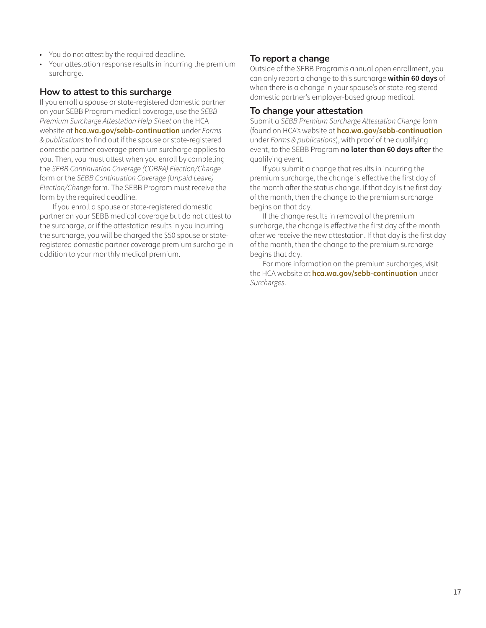- You do not attest by the required deadline.
- Your attestation response results in incurring the premium surcharge.

#### **How to attest to this surcharge**

If you enroll a spouse or state-registered domestic partner on your SEBB Program medical coverage, use the *SEBB Premium Surcharge Attestation Help Sheet* on the HCA website at **[hca.wa.gov/sebb-continuation](http://hca.wa.gov/sebb-continuation)** under *Forms & publications* to find out if the spouse or state-registered domestic partner coverage premium surcharge applies to you. Then, you must attest when you enroll by completing the *SEBB Continuation Coverage (COBRA) Election/Change* form or the *SEBB Continuation Coverage (Unpaid Leave) Election/Change* form. The SEBB Program must receive the form by the required deadline.

If you enroll a spouse or state-registered domestic partner on your SEBB medical coverage but do not attest to the surcharge, or if the attestation results in you incurring the surcharge, you will be charged the \$50 spouse or stateregistered domestic partner coverage premium surcharge in addition to your monthly medical premium.

#### **To report a change**

Outside of the SEBB Program's annual open enrollment, you can only report a change to this surcharge **within 60 days** of when there is a change in your spouse's or state-registered domestic partner's employer-based group medical.

#### **To change your attestation**

Submit a *SEBB Premium Surcharge Attestation Change* form (found on HCA's website at **[hca.wa.gov/s](http://hca.wa.gov/sebb-continuation)ebb-continuation** under *Forms & publications*), with proof of the qualifying event, to the SEBB Program **no later than 60 days after** the qualifying event.

If you submit a change that results in incurring the premium surcharge, the change is effective the first day of the month after the status change. If that day is the first day of the month, then the change to the premium surcharge begins on that day.

If the change results in removal of the premium surcharge, the change is effective the first day of the month after we receive the new attestation. If that day is the first day of the month, then the change to the premium surcharge begins that day.

For more information on the premium surcharges, visit the HCA website at **[hca.wa.gov/sebb-continuation](http://hca.wa.gov/sebb-continuation)** under *Surcharges*.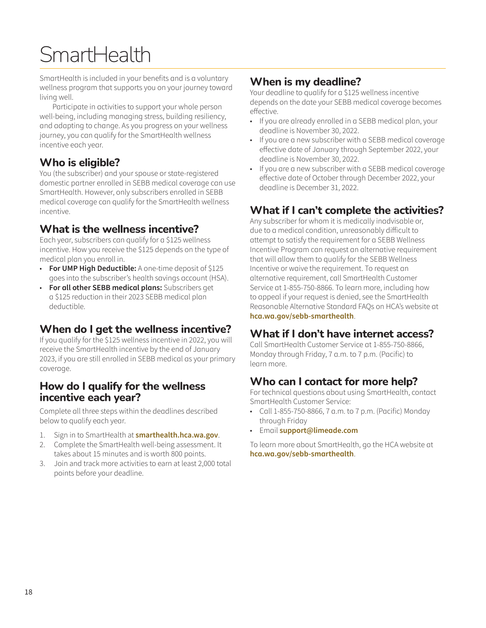# <span id="page-17-0"></span>**SmartHealth**

SmartHealth is included in your benefits and is a voluntary wellness program that supports you on your journey toward living well.

Participate in activities to support your whole person well-being, including managing stress, building resiliency, and adapting to change. As you progress on your wellness journey, you can qualify for the SmartHealth wellness incentive each year.

# **Who is eligible?**

You (the subscriber) and your spouse or state-registered domestic partner enrolled in SEBB medical coverage can use SmartHealth. However, only subscribers enrolled in SEBB medical coverage can qualify for the SmartHealth wellness incentive.

# **What is the wellness incentive?**

Each year, subscribers can qualify for a \$125 wellness incentive. How you receive the \$125 depends on the type of medical plan you enroll in.

- **For UMP High Deductible:** A one-time deposit of \$125 goes into the subscriber's health savings account (HSA).
- **For all other SEBB medical plans:** Subscribers get a \$125 reduction in their 2023 SEBB medical plan deductible.

# **When do I get the wellness incentive?**

If you qualify for the \$125 wellness incentive in 2022, you will receive the SmartHealth incentive by the end of January 2023, if you are still enrolled in SEBB medical as your primary coverage.

# **How do I qualify for the wellness incentive each year?**

Complete all three steps within the deadlines described below to qualify each year.

- 1. Sign in to SmartHealth at **[smarthealth.hca.wa.gov](http://smarthealth.hca.wa.gov)**.
- 2. Complete the SmartHealth well-being assessment. It takes about 15 minutes and is worth 800 points.
- 3. Join and track more activities to earn at least 2,000 total points before your deadline.

# **When is my deadline?**

Your deadline to qualify for a \$125 wellness incentive depends on the date your SEBB medical coverage becomes effective.

- If you are already enrolled in a SEBB medical plan, your deadline is November 30, 2022.
- If you are a new subscriber with a SEBB medical coverage effective date of January through September 2022, your deadline is November 30, 2022.
- If you are a new subscriber with a SEBB medical coverage effective date of October through December 2022, your deadline is December 31, 2022.

# **What if I can't complete the activities?**

Any subscriber for whom it is medically inadvisable or, due to a medical condition, unreasonably difficult to attempt to satisfy the requirement for a SEBB Wellness Incentive Program can request an alternative requirement that will allow them to qualify for the SEBB Wellness Incentive or waive the requirement. To request an alternative requirement, call SmartHealth Customer Service at 1-855-750-8866. To learn more, including how to appeal if your request is denied, see the SmartHealth Reasonable Alternative Standard FAQs on HCA's website at **[hca.wa.gov/sebb-smarthealth](http://hca.wa.gov/sebb-smarthealth)**.

# **What if I don't have internet access?**

Call SmartHealth Customer Service at 1-855-750-8866, Monday through Friday, 7 a.m. to 7 p.m. (Pacific) to learn more.

# **Who can I contact for more help?**

For technical questions about using SmartHealth, contact SmartHealth Customer Service:

- Call 1-855-750-8866, 7 a.m. to 7 p.m. (Pacific) Monday through Friday
- Email **[support@limeade.com](mailto:support@limeade.com)**

To learn more about SmartHealth, go the HCA website at **[hca.wa.gov/sebb-smarthealth](http://hca.wa.gov/sebb-smarthealth)**.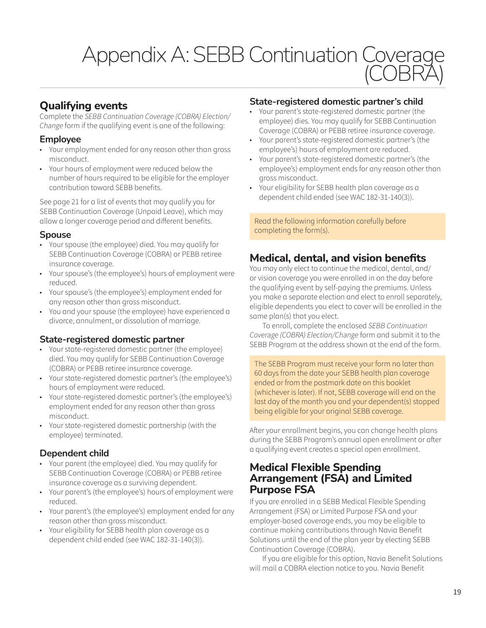# <span id="page-18-1"></span>Appendix A: SEBB Continuation Coverage

# <span id="page-18-0"></span>**Qualifying events**

Complete the *SEBB Continuation Coverage (COBRA) Election/ Change* form if the qualifying event is one of the following:

#### **Employee**

- Your employment ended for any reason other than gross misconduct.
- Your hours of employment were reduced below the number of hours required to be eligible for the employer contribution toward SEBB benefits.

See [page 21](#page-20-1) for a list of events that may qualify you for SEBB Continuation Coverage (Unpaid Leave), which may allow a longer coverage period and different benefits.

#### **Spouse**

- Your spouse (the employee) died. You may qualify for SEBB Continuation Coverage (COBRA) or PEBB retiree insurance coverage.
- Your spouse's (the employee's) hours of employment were reduced.
- Your spouse's (the employee's) employment ended for any reason other than gross misconduct.
- You and your spouse (the employee) have experienced a divorce, annulment, or dissolution of marriage.

## **State-registered domestic partner**

- Your state-registered domestic partner (the employee) died. You may qualify for SEBB Continuation Coverage (COBRA) or PEBB retiree insurance coverage.
- Your state-registered domestic partner's (the employee's) hours of employment were reduced.
- Your state-registered domestic partner's (the employee's) employment ended for any reason other than gross misconduct.
- Your state-registered domestic partnership (with the employee) terminated.

# **Dependent child**

- Your parent (the employee) died. You may qualify for SEBB Continuation Coverage (COBRA) or PEBB retiree insurance coverage as a surviving dependent.
- Your parent's (the employee's) hours of employment were reduced.
- Your parent's (the employee's) employment ended for any reason other than gross misconduct.
- Your eligibility for SEBB health plan coverage as a dependent child ended (see WAC 182-31-140(3)).

#### **State-registered domestic partner's child**

- Your parent's state-registered domestic partner (the employee) dies. You may qualify for SEBB Continuation Coverage (COBRA) or PEBB retiree insurance coverage.
- Your parent's state-registered domestic partner's (the employee's) hours of employment are reduced.
- Your parent's state-registered domestic partner's (the employee's) employment ends for any reason other than gross misconduct.
- Your eligibility for SEBB health plan coverage as a dependent child ended (see WAC 182-31-140(3)).

Read the following information carefully before completing the form(s).

# **Medical, dental, and vision benefits**

You may only elect to continue the medical, dental, and/ or vision coverage you were enrolled in on the day before the qualifying event by self-paying the premiums. Unless you make a separate election and elect to enroll separately, eligible dependents you elect to cover will be enrolled in the same plan(s) that you elect.

To enroll, complete the enclosed *SEBB Continuation Coverage (COBRA) Election/Change* form and submit it to the SEBB Program at the address shown at the end of the form.

The SEBB Program must receive your form no later than 60 days from the date your SEBB health plan coverage ended or from the postmark date on this booklet (whichever is later). If not, SEBB coverage will end on the last day of the month you and your dependent(s) stopped being eligible for your original SEBB coverage.

After your enrollment begins, you can change health plans during the SEBB Program's annual open enrollment or after a qualifying event creates a special open enrollment.

# **Medical Flexible Spending Arrangement (FSA) and Limited Purpose FSA**

If you are enrolled in a SEBB Medical Flexible Spending Arrangement (FSA) or Limited Purpose FSA and your employer-based coverage ends, you may be eligible to continue making contributions through Navia Benefit Solutions until the end of the plan year by electing SEBB Continuation Coverage (COBRA).

If you are eligible for this option, Navia Benefit Solutions will mail a COBRA election notice to you. Navia Benefit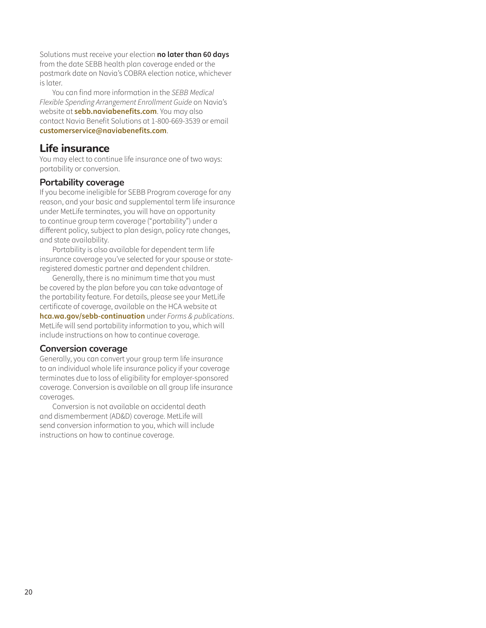<span id="page-19-0"></span>Solutions must receive your election **no later than 60 days** from the date SEBB health plan coverage ended or the postmark date on Navia's COBRA election notice, whichever is later.

You can find more information in the *SEBB Medical Flexible Spending Arrangement Enrollment Guide* on Navia's website at **[sebb.naviabenefits.com](http://sebb.naviabenefits.com)**. You may also contact Navia Benefit Solutions at 1-800-669-3539 or email **[customerservice@naviabenefits.com](mailto:customerservice@naviabenefits.com)**.

# **Life insurance**

You may elect to continue life insurance one of two ways: portability or conversion.

#### **Portability coverage**

If you become ineligible for SEBB Program coverage for any reason, and your basic and supplemental term life insurance under MetLife terminates, you will have an opportunity to continue group term coverage ("portability") under a different policy, subject to plan design, policy rate changes, and state availability.

Portability is also available for dependent term life insurance coverage you've selected for your spouse or stateregistered domestic partner and dependent children.

Generally, there is no minimum time that you must be covered by the plan before you can take advantage of the portability feature. For details, please see your MetLife certificate of coverage, available on the HCA website at **[hca.wa.gov/sebb-continuation](http://hca.wa.gov/sebb-continuation)** under *Forms & publications*. MetLife will send portability information to you, which will include instructions on how to continue coverage.

#### **Conversion coverage**

Generally, you can convert your group term life insurance to an individual whole life insurance policy if your coverage terminates due to loss of eligibility for employer-sponsored coverage. Conversion is available on all group life insurance coverages.

Conversion is not available on accidental death and dismemberment (AD&D) coverage. MetLife will send conversion information to you, which will include instructions on how to continue coverage.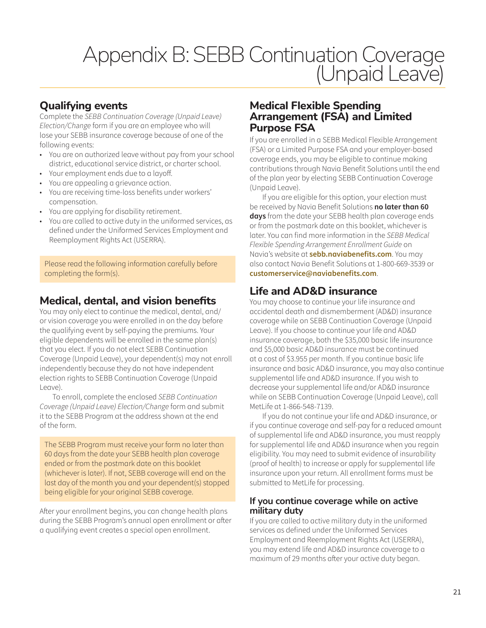# <span id="page-20-0"></span>Appendix B: SEBB Continuation Coverage (Unpaid Leave)

# <span id="page-20-1"></span>**Qualifying events**

Complete the *SEBB Continuation Coverage (Unpaid Leave) Election/Change* form if you are an employee who will lose your SEBB insurance coverage because of one of the following events:

- You are on authorized leave without pay from your school district, educational service district, or charter school.
- Your employment ends due to a layoff.
- You are appealing a grievance action.
- You are receiving time-loss benefits under workers' compensation.
- You are applying for disability retirement.
- You are called to active duty in the uniformed services, as defined under the Uniformed Services Employment and Reemployment Rights Act (USERRA).

Please read the following information carefully before completing the form(s).

# **Medical, dental, and vision benefits**

You may only elect to continue the medical, dental, and/ or vision coverage you were enrolled in on the day before the qualifying event by self-paying the premiums. Your eligible dependents will be enrolled in the same plan(s) that you elect. If you do not elect SEBB Continuation Coverage (Unpaid Leave), your dependent(s) may not enroll independently because they do not have independent election rights to SEBB Continuation Coverage (Unpaid Leave).

To enroll, complete the enclosed *SEBB Continuation Coverage (Unpaid Leave) Election/Change* form and submit it to the SEBB Program at the address shown at the end of the form.

The SEBB Program must receive your form no later than 60 days from the date your SEBB health plan coverage ended or from the postmark date on this booklet (whichever is later). If not, SEBB coverage will end on the last day of the month you and your dependent(s) stopped being eligible for your original SEBB coverage.

After your enrollment begins, you can change health plans during the SEBB Program's annual open enrollment or after a qualifying event creates a special open enrollment.

# **Medical Flexible Spending Arrangement (FSA) and Limited Purpose FSA**

If you are enrolled in a SEBB Medical Flexible Arrangement (FSA) or a Limited Purpose FSA and your employer-based coverage ends, you may be eligible to continue making contributions through Navia Benefit Solutions until the end of the plan year by electing SEBB Continuation Coverage (Unpaid Leave).

If you are eligible for this option, your election must be received by Navia Benefit Solutions **no later than 60 days** from the date your SEBB health plan coverage ends or from the postmark date on this booklet, whichever is later. You can find more information in the *SEBB Medical Flexible Spending Arrangement Enrollment Guide* on Navia's website at **[sebb.naviabenefits.com](https://sebb.naviabenefits.com/)**. You may also contact Navia Benefit Solutions at 1-800-669-3539 or **[customerservice@naviabenefits.com](mailto:customerservice@naviabenefits.com?subject=)**.

# **Life and AD&D insurance**

You may choose to continue your life insurance and accidental death and dismemberment (AD&D) insurance coverage while on SEBB Continuation Coverage (Unpaid Leave). If you choose to continue your life and AD&D insurance coverage, both the \$35,000 basic life insurance and \$5,000 basic AD&D insurance must be continued at a cost of \$3.955 per month. If you continue basic life insurance and basic AD&D insurance, you may also continue supplemental life and AD&D insurance. If you wish to decrease your supplemental life and/or AD&D insurance while on SEBB Continuation Coverage (Unpaid Leave), call MetLife at 1-866-548-7139.

If you do not continue your life and AD&D insurance, or if you continue coverage and self-pay for a reduced amount of supplemental life and AD&D insurance, you must reapply for supplemental life and AD&D insurance when you regain eligibility. You may need to submit evidence of insurability (proof of health) to increase or apply for supplemental life insurance upon your return. All enrollment forms must be submitted to MetLife for processing.

#### **If you continue coverage while on active military duty**

If you are called to active military duty in the uniformed services as defined under the Uniformed Services Employment and Reemployment Rights Act (USERRA), you may extend life and AD&D insurance coverage to a maximum of 29 months after your active duty began.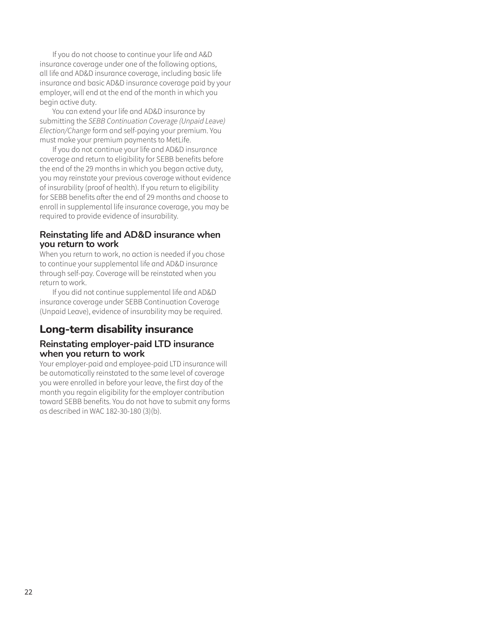<span id="page-21-0"></span>If you do not choose to continue your life and A&D insurance coverage under one of the following options, all life and AD&D insurance coverage, including basic life insurance and basic AD&D insurance coverage paid by your employer, will end at the end of the month in which you begin active duty.

You can extend your life and AD&D insurance by submitting the *SEBB Continuation Coverage (Unpaid Leave) Election/Change* form and self-paying your premium. You must make your premium payments to MetLife.

If you do not continue your life and AD&D insurance coverage and return to eligibility for SEBB benefits before the end of the 29 months in which you began active duty, you may reinstate your previous coverage without evidence of insurability (proof of health). If you return to eligibility for SEBB benefits after the end of 29 months and choose to enroll in supplemental life insurance coverage, you may be required to provide evidence of insurability.

#### **Reinstating life and AD&D insurance when you return to work**

When you return to work, no action is needed if you chose to continue your supplemental life and AD&D insurance through self-pay. Coverage will be reinstated when you return to work.

If you did not continue supplemental life and AD&D insurance coverage under SEBB Continuation Coverage (Unpaid Leave), evidence of insurability may be required.

# **Long-term disability insurance**

#### **Reinstating employer-paid LTD insurance when you return to work**

Your employer-paid and employee-paid LTD insurance will be automatically reinstated to the same level of coverage you were enrolled in before your leave, the first day of the month you regain eligibility for the employer contribution toward SEBB benefits. You do not have to submit any forms as described in WAC 182-30-180 (3)(b).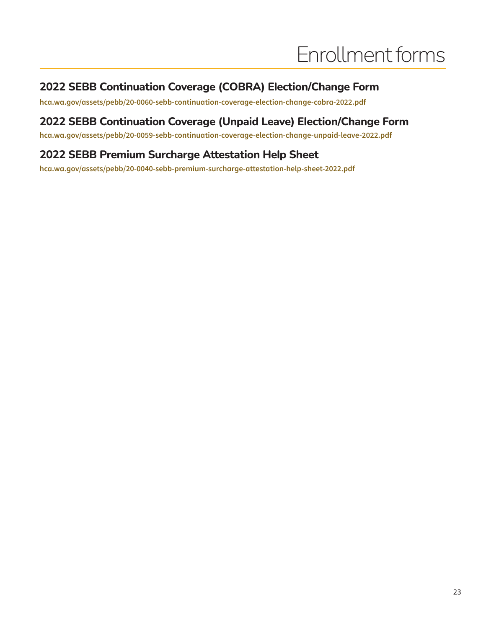# <span id="page-22-0"></span>**2022 SEBB Continuation Coverage (COBRA) Election/Change Form**

**[hca.wa.gov/assets/pebb/20-0060-sebb-continuation-coverage-election-change-cobra-2022.pdf](https://www.hca.wa.gov/assets/pebb/20-0060-sebb-continuation-coverage-election-change-cobra-2022.pdf)**

# **2022 SEBB Continuation Coverage (Unpaid Leave) Election/Change Form**

**[hca.wa.gov/assets/pebb/20-0059-sebb-continuation-coverage-election-change-unpaid-leave-2022.pdf](https://www.hca.wa.gov/assets/pebb/20-0059-sebb-continuation-coverage-election-change-unpaid-leave-2022.pdf)**

# **2022 SEBB Premium Surcharge Attestation Help Sheet**

**[hca.wa.gov/assets/pebb/20-0040-sebb-premium-surcharge-attestation-help-sheet-2022.pdf](https://www.hca.wa.gov/assets/pebb/20-0040-sebb-premium-surcharge-attestation-help-sheet-2022.pdf)**